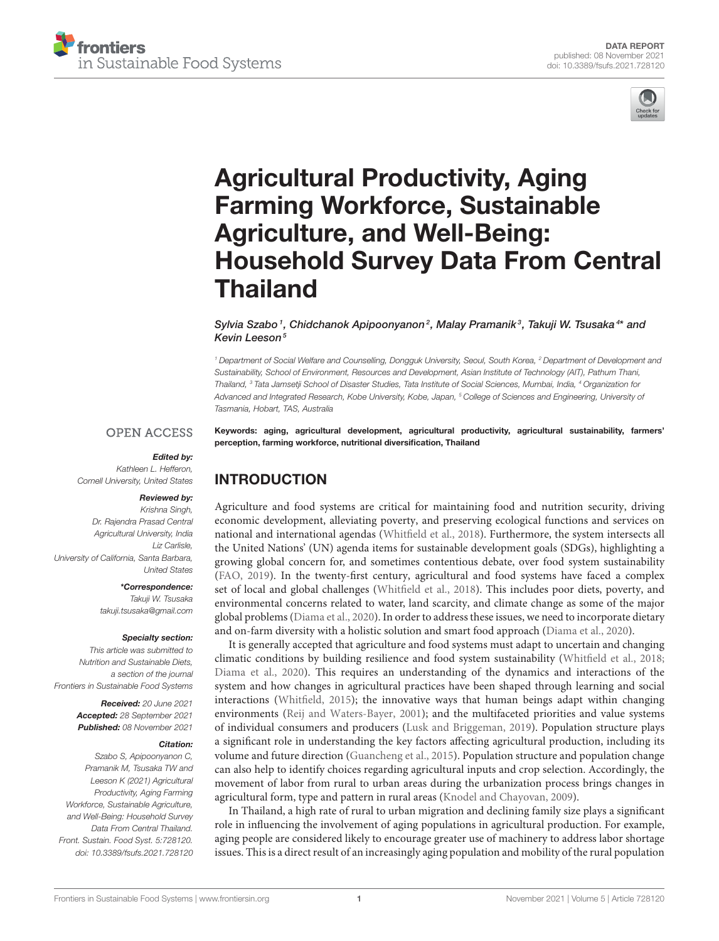



# Agricultural Productivity, Aging Farming Workforce, Sustainable Agriculture, and Well-Being: [Household Survey Data From Central](https://www.frontiersin.org/articles/10.3389/fsufs.2021.728120/full) Thailand

Sylvia Szabo1, Chidchanok Apipoonyanon $^2$ , Malay Pramanik $^3$ , Takuji W. Tsusaka $^{4\star}$  and Kevin Leeson<sup>5</sup>

*<sup>1</sup> Department of Social Welfare and Counselling, Dongguk University, Seoul, South Korea, <sup>2</sup> Department of Development and Sustainability, School of Environment, Resources and Development, Asian Institute of Technology (AIT), Pathum Thani, Thailand, <sup>3</sup> Tata Jamsetji School of Disaster Studies, Tata Institute of Social Sciences, Mumbai, India, <sup>4</sup> Organization for Advanced and Integrated Research, Kobe University, Kobe, Japan, <sup>5</sup> College of Sciences and Engineering, University of Tasmania, Hobart, TAS, Australia*

#### **OPEN ACCESS**

#### Edited by:

*Kathleen L. Hefferon, Cornell University, United States*

#### Reviewed by:

*Krishna Singh, Dr. Rajendra Prasad Central Agricultural University, India Liz Carlisle, University of California, Santa Barbara, United States*

> \*Correspondence: *Takuji W. Tsusaka [takuji.tsusaka@gmail.com](mailto:takuji.tsusaka@gmail.com)*

#### Specialty section:

*This article was submitted to Nutrition and Sustainable Diets, a section of the journal Frontiers in Sustainable Food Systems*

> Received: *20 June 2021* Accepted: *28 September 2021* Published: *08 November 2021*

#### Citation:

*Szabo S, Apipoonyanon C, Pramanik M, Tsusaka TW and Leeson K (2021) Agricultural Productivity, Aging Farming Workforce, Sustainable Agriculture, and Well-Being: Household Survey Data From Central Thailand. Front. Sustain. Food Syst. 5:728120. doi: [10.3389/fsufs.2021.728120](https://doi.org/10.3389/fsufs.2021.728120)* Keywords: aging, agricultural development, agricultural productivity, agricultural sustainability, farmers' perception, farming workforce, nutritional diversification, Thailand

## INTRODUCTION

Agriculture and food systems are critical for maintaining food and nutrition security, driving economic development, alleviating poverty, and preserving ecological functions and services on national and international agendas [\(Whitfield et al., 2018\)](#page-5-0). Furthermore, the system intersects all the United Nations' (UN) agenda items for sustainable development goals (SDGs), highlighting a growing global concern for, and sometimes contentious debate, over food system sustainability [\(FAO, 2019\)](#page-4-0). In the twenty-first century, agricultural and food systems have faced a complex set of local and global challenges [\(Whitfield et al., 2018\)](#page-5-0). This includes poor diets, poverty, and environmental concerns related to water, land scarcity, and climate change as some of the major global problems [\(Diama et al., 2020\)](#page-4-1). In order to address these issues, we need to incorporate dietary and on-farm diversity with a holistic solution and smart food approach [\(Diama et al., 2020\)](#page-4-1).

It is generally accepted that agriculture and food systems must adapt to uncertain and changing climatic conditions by building resilience and food system sustainability [\(Whitfield et al., 2018;](#page-5-0) [Diama et al., 2020\)](#page-4-1). This requires an understanding of the dynamics and interactions of the system and how changes in agricultural practices have been shaped through learning and social interactions [\(Whitfield, 2015\)](#page-5-1); the innovative ways that human beings adapt within changing environments [\(Reij and Waters-Bayer, 2001\)](#page-5-2); and the multifaceted priorities and value systems of individual consumers and producers [\(Lusk and Briggeman, 2019\)](#page-5-3). Population structure plays a significant role in understanding the key factors affecting agricultural production, including its volume and future direction [\(Guancheng et al., 2015\)](#page-4-2). Population structure and population change can also help to identify choices regarding agricultural inputs and crop selection. Accordingly, the movement of labor from rural to urban areas during the urbanization process brings changes in agricultural form, type and pattern in rural areas [\(Knodel and Chayovan, 2009\)](#page-5-4).

In Thailand, a high rate of rural to urban migration and declining family size plays a significant role in influencing the involvement of aging populations in agricultural production. For example, aging people are considered likely to encourage greater use of machinery to address labor shortage issues. This is a direct result of an increasingly aging population and mobility of the rural population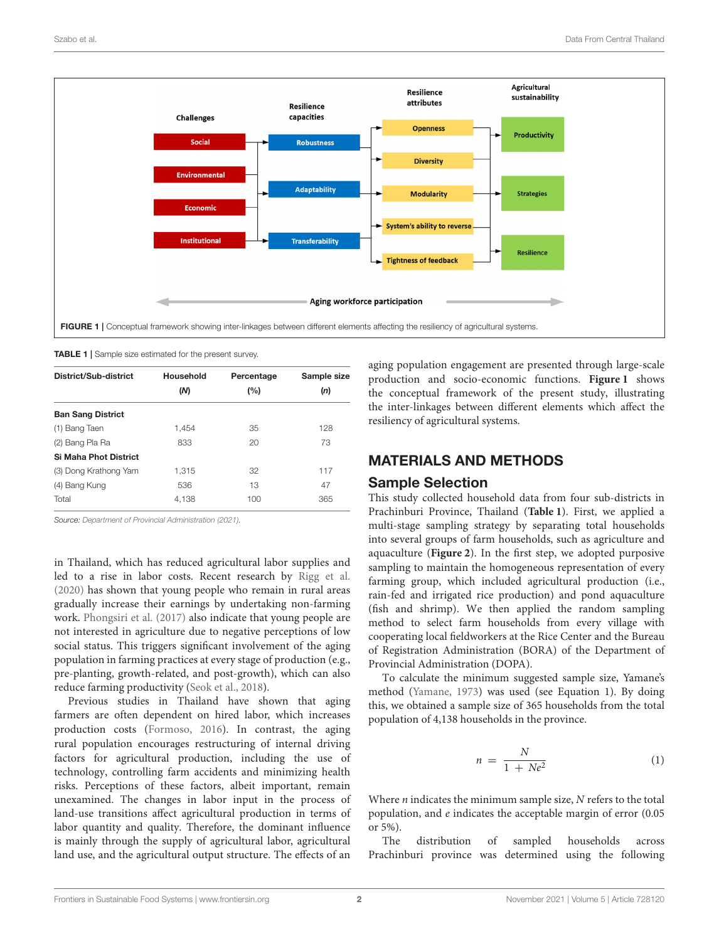

| District/Sub-district        | Household | Percentage | Sample size |
|------------------------------|-----------|------------|-------------|
|                              | (N)       | (%)        | (n)         |
| <b>Ban Sang District</b>     |           |            |             |
| (1) Bang Taen                | 1.454     | 35         | 128         |
| (2) Bang Pla Ra              | 833       | 20         | 73          |
| <b>Si Maha Phot District</b> |           |            |             |
| (3) Dong Krathong Yam        | 1.315     | 32         | 117         |
| (4) Bang Kung                | 536       | 13         | 47          |
| Total                        | 4.138     | 100        | 365         |

<span id="page-1-1"></span><span id="page-1-0"></span>TABLE 1 | Sample size estimated for the present survey.

*Source: [Department of Provincial Administration \(2021\)](#page-4-3).*

in Thailand, which has reduced agricultural labor supplies and led to a rise in labor costs. Recent research by [Rigg et al.](#page-5-5) [\(2020\)](#page-5-5) has shown that young people who remain in rural areas gradually increase their earnings by undertaking non-farming work. [Phongsiri et al. \(2017\)](#page-5-6) also indicate that young people are not interested in agriculture due to negative perceptions of low social status. This triggers significant involvement of the aging population in farming practices at every stage of production (e.g., pre-planting, growth-related, and post-growth), which can also reduce farming productivity [\(Seok et al., 2018\)](#page-5-7).

Previous studies in Thailand have shown that aging farmers are often dependent on hired labor, which increases production costs [\(Formoso, 2016\)](#page-4-4). In contrast, the aging rural population encourages restructuring of internal driving factors for agricultural production, including the use of technology, controlling farm accidents and minimizing health risks. Perceptions of these factors, albeit important, remain unexamined. The changes in labor input in the process of land-use transitions affect agricultural production in terms of labor quantity and quality. Therefore, the dominant influence is mainly through the supply of agricultural labor, agricultural land use, and the agricultural output structure. The effects of an aging population engagement are presented through large-scale production and socio-economic functions. **[Figure 1](#page-1-0)** shows the conceptual framework of the present study, illustrating the inter-linkages between different elements which affect the resiliency of agricultural systems.

#### MATERIALS AND METHODS

#### Sample Selection

This study collected household data from four sub-districts in Prachinburi Province, Thailand (**[Table 1](#page-1-1)**). First, we applied a multi-stage sampling strategy by separating total households into several groups of farm households, such as agriculture and aquaculture (**[Figure 2](#page-2-0)**). In the first step, we adopted purposive sampling to maintain the homogeneous representation of every farming group, which included agricultural production (i.e., rain-fed and irrigated rice production) and pond aquaculture (fish and shrimp). We then applied the random sampling method to select farm households from every village with cooperating local fieldworkers at the Rice Center and the Bureau of Registration Administration (BORA) of the Department of Provincial Administration (DOPA).

To calculate the minimum suggested sample size, Yamane's method [\(Yamane, 1973\)](#page-5-8) was used (see Equation 1). By doing this, we obtained a sample size of 365 households from the total population of 4,138 households in the province.

$$
n = \frac{N}{1 + Ne^2} \tag{1}
$$

Where  $n$  indicates the minimum sample size,  $N$  refers to the total population, and e indicates the acceptable margin of error (0.05 or 5%).

The distribution of sampled households across Prachinburi province was determined using the following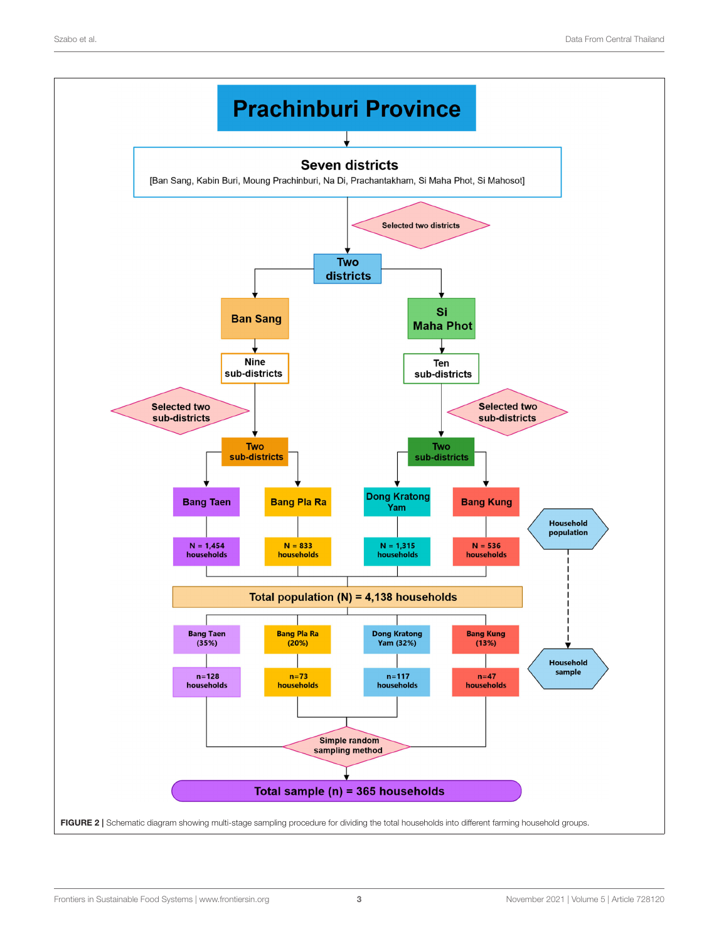<span id="page-2-0"></span>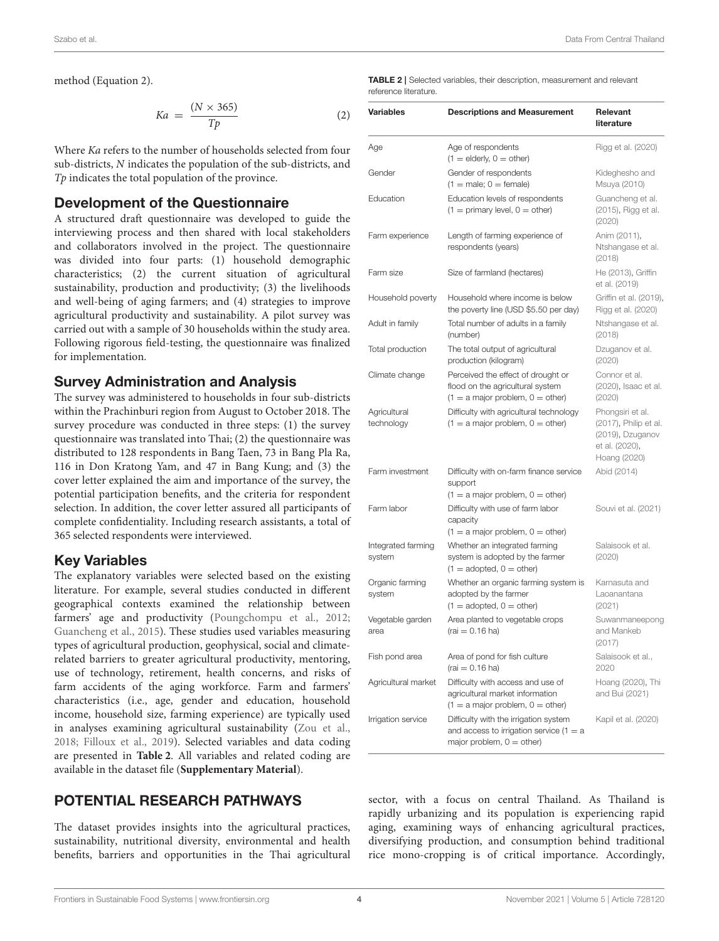method (Equation 2).

$$
Ka = \frac{(N \times 365)}{Tp} \tag{2}
$$

Where Ka refers to the number of households selected from four sub-districts, N indicates the population of the sub-districts, and Tp indicates the total population of the province.

#### Development of the Questionnaire

A structured draft questionnaire was developed to guide the interviewing process and then shared with local stakeholders and collaborators involved in the project. The questionnaire was divided into four parts: (1) household demographic characteristics; (2) the current situation of agricultural sustainability, production and productivity; (3) the livelihoods and well-being of aging farmers; and (4) strategies to improve agricultural productivity and sustainability. A pilot survey was carried out with a sample of 30 households within the study area. Following rigorous field-testing, the questionnaire was finalized for implementation.

### Survey Administration and Analysis

The survey was administered to households in four sub-districts within the Prachinburi region from August to October 2018. The survey procedure was conducted in three steps: (1) the survey questionnaire was translated into Thai; (2) the questionnaire was distributed to 128 respondents in Bang Taen, 73 in Bang Pla Ra, 116 in Don Kratong Yam, and 47 in Bang Kung; and (3) the cover letter explained the aim and importance of the survey, the potential participation benefits, and the criteria for respondent selection. In addition, the cover letter assured all participants of complete confidentiality. Including research assistants, a total of 365 selected respondents were interviewed.

## Key Variables

The explanatory variables were selected based on the existing literature. For example, several studies conducted in different geographical contexts examined the relationship between farmers' age and productivity [\(Poungchompu et al., 2012;](#page-5-9) [Guancheng et al., 2015\)](#page-4-2). These studies used variables measuring types of agricultural production, geophysical, social and climaterelated barriers to greater agricultural productivity, mentoring, use of technology, retirement, health concerns, and risks of farm accidents of the aging workforce. Farm and farmers' characteristics (i.e., age, gender and education, household income, household size, farming experience) are typically used in analyses examining agricultural sustainability [\(Zou et al.,](#page-5-10) [2018;](#page-5-10) [Filloux et al., 2019\)](#page-4-5). Selected variables and data coding are presented in **[Table 2](#page-3-0)**. All variables and related coding are available in the dataset file (**[Supplementary Material](#page-4-6)**).

# POTENTIAL RESEARCH PATHWAYS

The dataset provides insights into the agricultural practices, sustainability, nutritional diversity, environmental and health benefits, barriers and opportunities in the Thai agricultural

<span id="page-3-0"></span>TABLE 2 | Selected variables, their description, measurement and relevant reference literature.

| <b>Variables</b>             | <b>Descriptions and Measurement</b>                                                                               | Relevant<br>literature                                                                          |
|------------------------------|-------------------------------------------------------------------------------------------------------------------|-------------------------------------------------------------------------------------------------|
| Age                          | Age of respondents<br>$(1 =$ elderly, $0 =$ other)                                                                | Rigg et al. (2020)                                                                              |
| Gender                       | Gender of respondents<br>$(1 = male; 0 = female)$                                                                 | Kideghesho and<br>Msuya (2010)                                                                  |
| Education                    | Education levels of respondents<br>$(1 = \text{primary level}, 0 = \text{other})$                                 | Guancheng et al.<br>(2015), Rigg et al.<br>(2020)                                               |
| Farm experience              | Length of farming experience of<br>respondents (years)                                                            | Anim (2011),<br>Ntshangase et al.<br>(2018)                                                     |
| Farm size                    | Size of farmland (hectares)                                                                                       | He (2013), Griffin<br>et al. (2019)                                                             |
| Household poverty            | Household where income is below<br>the poverty line (USD \$5.50 per day)                                          | Griffin et al. (2019),<br>Rigg et al. (2020)                                                    |
| Adult in family              | Total number of adults in a family<br>(number)                                                                    | Ntshangase et al.<br>(2018)                                                                     |
| Total production             | The total output of agricultural<br>production (kilogram)                                                         | Dzuganov et al.<br>(2020)                                                                       |
| Climate change               | Perceived the effect of drought or<br>flood on the agricultural system<br>$(1 = a$ major problem, $0 =$ other)    | Connor et al.<br>(2020), Isaac et al.<br>(2020)                                                 |
| Agricultural<br>technology   | Difficulty with agricultural technology<br>$(1 = a$ major problem, $0 =$ other)                                   | Phongsiri et al.<br>(2017), Philip et al.<br>(2019), Dzuganov<br>et al. (2020),<br>Hoang (2020) |
| Farm investment              | Difficulty with on-farm finance service<br>support<br>$(1 = a$ major problem, $0 =$ other)                        | Abid (2014)                                                                                     |
| Farm labor                   | Difficulty with use of farm labor<br>capacity<br>$(1 = a$ major problem, $0 =$ other)                             | Souvi et al. (2021)                                                                             |
| Integrated farming<br>system | Whether an integrated farming<br>system is adopted by the farmer<br>$(1 = \text{adopted}, 0 = \text{other})$      | Salaisook et al.<br>(2020)                                                                      |
| Organic farming<br>system    | Whether an organic farming system is<br>adopted by the farmer<br>$(1 = \text{adopted}, 0 = \text{other})$         | Karnasuta and<br>Laoanantana<br>(2021)                                                          |
| Vegetable garden<br>area     | Area planted to vegetable crops<br>$(rai = 0.16$ ha)                                                              | Suwanmaneepong<br>and Mankeb<br>(2017)                                                          |
| Fish pond area               | Area of pond for fish culture<br>$(rai = 0.16 ha)$                                                                | Salaisook et al.,<br>2020                                                                       |
| Agricultural market          | Difficulty with access and use of<br>agricultural market information<br>$(1 = a$ major problem, $0 =$ other)      | Hoang (2020), Thi<br>and Bui (2021)                                                             |
| Irrigation service           | Difficulty with the irrigation system<br>and access to irrigation service $(1 = a$<br>major problem, $0 =$ other) | Kapil et al. (2020)                                                                             |

sector, with a focus on central Thailand. As Thailand is rapidly urbanizing and its population is experiencing rapid aging, examining ways of enhancing agricultural practices, diversifying production, and consumption behind traditional rice mono-cropping is of critical importance. Accordingly,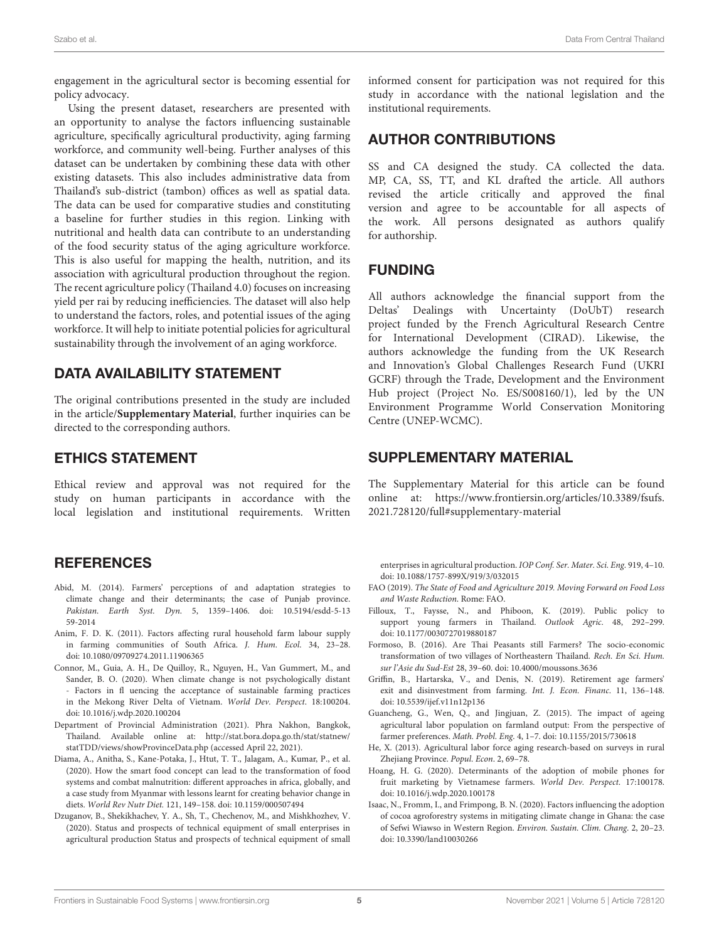engagement in the agricultural sector is becoming essential for policy advocacy.

Using the present dataset, researchers are presented with an opportunity to analyse the factors influencing sustainable agriculture, specifically agricultural productivity, aging farming workforce, and community well-being. Further analyses of this dataset can be undertaken by combining these data with other existing datasets. This also includes administrative data from Thailand's sub-district (tambon) offices as well as spatial data. The data can be used for comparative studies and constituting a baseline for further studies in this region. Linking with nutritional and health data can contribute to an understanding of the food security status of the aging agriculture workforce. This is also useful for mapping the health, nutrition, and its association with agricultural production throughout the region. The recent agriculture policy (Thailand 4.0) focuses on increasing yield per rai by reducing inefficiencies. The dataset will also help to understand the factors, roles, and potential issues of the aging workforce. It will help to initiate potential policies for agricultural sustainability through the involvement of an aging workforce.

#### DATA AVAILABILITY STATEMENT

The original contributions presented in the study are included in the article/**[Supplementary Material](#page-4-6)**, further inquiries can be directed to the corresponding authors.

#### ETHICS STATEMENT

Ethical review and approval was not required for the study on human participants in accordance with the local legislation and institutional requirements. Written

### **REFERENCES**

- <span id="page-4-14"></span>Abid, M. (2014). Farmers' perceptions of and adaptation strategies to climate change and their determinants; the case of Punjab province. Pakistan. Earth Syst. Dyn[. 5, 1359–1406. doi: 10.5194/esdd-5-13](https://doi.org/10.5194/esdd-5-1359-2014) 59-2014
- <span id="page-4-7"></span>Anim, F. D. K. (2011). Factors affecting rural household farm labour supply in farming communities of South Africa. J. Hum. Ecol. 34, 23–28. doi: [10.1080/09709274.2011.11906365](https://doi.org/10.1080/09709274.2011.11906365)
- <span id="page-4-11"></span>Connor, M., Guia, A. H., De Quilloy, R., Nguyen, H., Van Gummert, M., and Sander, B. O. (2020). When climate change is not psychologically distant - Factors in fl uencing the acceptance of sustainable farming practices in the Mekong River Delta of Vietnam. World Dev. Perspect. 18:100204. doi: [10.1016/j.wdp.2020.100204](https://doi.org/10.1016/j.wdp.2020.100204)
- <span id="page-4-3"></span>Department of Provincial Administration (2021). Phra Nakhon, Bangkok, Thailand. Available online at: [http://stat.bora.dopa.go.th/stat/statnew/](http://stat.bora.dopa.go.th/stat/statnew/statTDD/views/showProvinceData.php) [statTDD/views/showProvinceData.php](http://stat.bora.dopa.go.th/stat/statnew/statTDD/views/showProvinceData.php) (accessed April 22, 2021).
- <span id="page-4-1"></span>Diama, A., Anitha, S., Kane-Potaka, J., Htut, T. T., Jalagam, A., Kumar, P., et al. (2020). How the smart food concept can lead to the transformation of food systems and combat malnutrition: different approaches in africa, globally, and a case study from Myanmar with lessons learnt for creating behavior change in diets. World Rev Nutr Diet. 121, 149–158. doi: [10.1159/000507494](https://doi.org/10.1159/000507494)
- <span id="page-4-10"></span>Dzuganov, B., Shekikhachev, Y. A., Sh, T., Chechenov, M., and Mishkhozhev, V. (2020). Status and prospects of technical equipment of small enterprises in agricultural production Status and prospects of technical equipment of small

informed consent for participation was not required for this study in accordance with the national legislation and the institutional requirements.

## AUTHOR CONTRIBUTIONS

SS and CA designed the study. CA collected the data. MP, CA, SS, TT, and KL drafted the article. All authors revised the article critically and approved the final version and agree to be accountable for all aspects of the work. All persons designated as authors qualify for authorship.

## FUNDING

All authors acknowledge the financial support from the Deltas' Dealings with Uncertainty (DoUbT) research project funded by the French Agricultural Research Centre for International Development (CIRAD). Likewise, the authors acknowledge the funding from the UK Research and Innovation's Global Challenges Research Fund (UKRI GCRF) through the Trade, Development and the Environment Hub project (Project No. ES/S008160/1), led by the UN Environment Programme World Conservation Monitoring Centre (UNEP-WCMC).

#### SUPPLEMENTARY MATERIAL

<span id="page-4-6"></span>The Supplementary Material for this article can be found [online at: https://www.frontiersin.org/articles/10.3389/fsufs.](https://www.frontiersin.org/articles/10.3389/fsufs.2021.728120/full#supplementary-material) 2021.728120/full#supplementary-material

enterprises in agricultural production. IOP Conf. Ser. Mater. Sci. Eng. 919, 4–10. doi: [10.1088/1757-899X/919/3/032015](https://doi.org/10.1088/1757-899X/919/3/032015)

- <span id="page-4-0"></span>FAO (2019). The State of Food and Agriculture 2019. Moving Forward on Food Loss and Waste Reduction. Rome: FAO.
- <span id="page-4-5"></span>Filloux, T., Faysse, N., and Phiboon, K. (2019). Public policy to support young farmers in Thailand. Outlook Agric. 48, 292–299. doi: [10.1177/0030727019880187](https://doi.org/10.1177/0030727019880187)
- <span id="page-4-4"></span>Formoso, B. (2016). Are Thai Peasants still Farmers? The socio-economic transformation of two villages of Northeastern Thailand. Rech. En Sci. Hum. sur l'Asie du Sud-Est 28, 39–60. doi: [10.4000/moussons.3636](https://doi.org/10.4000/moussons.3636)
- <span id="page-4-9"></span>Griffin, B., Hartarska, V., and Denis, N. (2019). Retirement age farmers' exit and disinvestment from farming. Int. J. Econ. Financ. 11, 136–148. doi: [10.5539/ijef.v11n12p136](https://doi.org/10.5539/ijef.v11n12p136)
- <span id="page-4-2"></span>Guancheng, G., Wen, Q., and Jingjuan, Z. (2015). The impact of ageing agricultural labor population on farmland output: From the perspective of farmer preferences. Math. Probl. Eng. 4, 1–7. doi: [10.1155/2015/730618](https://doi.org/10.1155/2015/730618)
- <span id="page-4-8"></span>He, X. (2013). Agricultural labor force aging research-based on surveys in rural Zhejiang Province. Popul. Econ. 2, 69–78.
- <span id="page-4-13"></span>Hoang, H. G. (2020). Determinants of the adoption of mobile phones for fruit marketing by Vietnamese farmers. World Dev. Perspect. 17:100178. doi: [10.1016/j.wdp.2020.100178](https://doi.org/10.1016/j.wdp.2020.100178)
- <span id="page-4-12"></span>Isaac, N., Fromm, I., and Frimpong, B. N. (2020). Factors influencing the adoption of cocoa agroforestry systems in mitigating climate change in Ghana: the case of Sefwi Wiawso in Western Region. Environ. Sustain. Clim. Chang. 2, 20–23. doi: [10.3390/land10030266](https://doi.org/10.3390/land10030266)